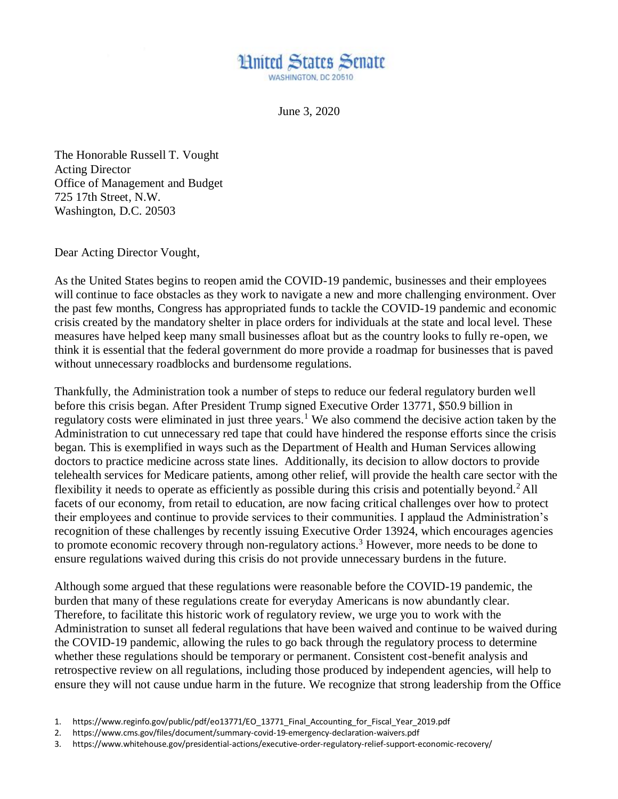

June 3, 2020

The Honorable Russell T. Vought Acting Director Office of Management and Budget 725 17th Street, N.W. Washington, D.C. 20503

Dear Acting Director Vought,

As the United States begins to reopen amid the COVID-19 pandemic, businesses and their employees will continue to face obstacles as they work to navigate a new and more challenging environment. Over the past few months, Congress has appropriated funds to tackle the COVID-19 pandemic and economic crisis created by the mandatory shelter in place orders for individuals at the state and local level. These measures have helped keep many small businesses afloat but as the country looks to fully re-open, we think it is essential that the federal government do more provide a roadmap for businesses that is paved without unnecessary roadblocks and burdensome regulations.

Thankfully, the Administration took a number of steps to reduce our federal regulatory burden well before this crisis began. After President Trump signed Executive Order 13771, \$50.9 billion in regulatory costs were eliminated in just three years.<sup>1</sup> We also commend the decisive action taken by the Administration to cut unnecessary red tape that could have hindered the response efforts since the crisis began. This is exemplified in ways such as the Department of Health and Human Services allowing doctors to practice medicine across state lines. Additionally, its decision to allow doctors to provide telehealth services for Medicare patients, among other relief, will provide the health care sector with the flexibility it needs to operate as efficiently as possible during this crisis and potentially beyond.<sup>2</sup> All facets of our economy, from retail to education, are now facing critical challenges over how to protect their employees and continue to provide services to their communities. I applaud the Administration's recognition of these challenges by recently issuing Executive Order 13924, which encourages agencies to promote economic recovery through non-regulatory actions.<sup>3</sup> However, more needs to be done to ensure regulations waived during this crisis do not provide unnecessary burdens in the future.

Although some argued that these regulations were reasonable before the COVID-19 pandemic, the burden that many of these regulations create for everyday Americans is now abundantly clear. Therefore, to facilitate this historic work of regulatory review, we urge you to work with the Administration to sunset all federal regulations that have been waived and continue to be waived during the COVID-19 pandemic, allowing the rules to go back through the regulatory process to determine whether these regulations should be temporary or permanent. Consistent cost-benefit analysis and retrospective review on all regulations, including those produced by independent agencies, will help to ensure they will not cause undue harm in the future. We recognize that strong leadership from the Office

- 2. https://www.cms.gov/files/document/summary-covid-19-emergency-declaration-waivers.pdf
- 3. https://www.whitehouse.gov/presidential-actions/executive-order-regulatory-relief-support-economic-recovery/

<sup>1.</sup> https://www.reginfo.gov/public/pdf/eo13771/EO\_13771\_Final\_Accounting\_for\_Fiscal\_Year\_2019.pdf